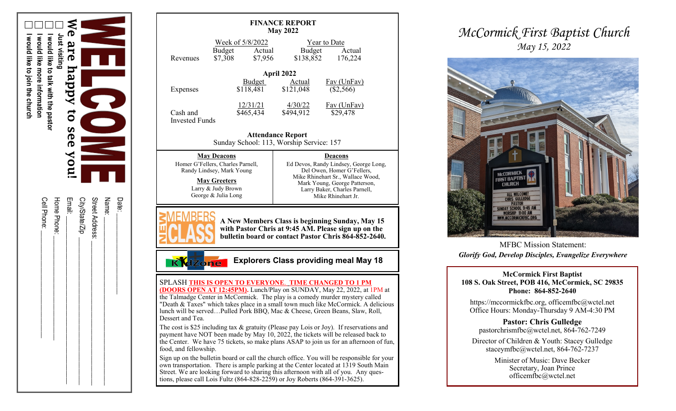

| Date:           |
|-----------------|
| Name:           |
| Street Address: |
| City/State/Zip  |
| Email:          |
| Home Phone:     |
| Cell Phone:     |
|                 |

| <b>FINANCE REPORT</b><br><b>May 2022</b>                                                                                                                                                                                                                                                                                                                                                                                                                                                                                                                                                |                                                            |                                                                                                                                                                                                                    |                                          |  |  |
|-----------------------------------------------------------------------------------------------------------------------------------------------------------------------------------------------------------------------------------------------------------------------------------------------------------------------------------------------------------------------------------------------------------------------------------------------------------------------------------------------------------------------------------------------------------------------------------------|------------------------------------------------------------|--------------------------------------------------------------------------------------------------------------------------------------------------------------------------------------------------------------------|------------------------------------------|--|--|
| Revenues                                                                                                                                                                                                                                                                                                                                                                                                                                                                                                                                                                                | Week of 5/8/2022<br>Budget<br>Actual<br>\$7,308<br>\$7,956 | Budget<br>\$138,852                                                                                                                                                                                                | <b>Year to Date</b><br>Actual<br>176,224 |  |  |
| April 2022<br>Budget<br><b>Actual</b><br><b>Fav</b> (UnFav)                                                                                                                                                                                                                                                                                                                                                                                                                                                                                                                             |                                                            |                                                                                                                                                                                                                    |                                          |  |  |
| Expenses                                                                                                                                                                                                                                                                                                                                                                                                                                                                                                                                                                                | \$118,481                                                  | \$121,048                                                                                                                                                                                                          | (\$2,566)                                |  |  |
| Cash and<br><b>Invested Funds</b>                                                                                                                                                                                                                                                                                                                                                                                                                                                                                                                                                       | 12/31/21<br>\$465,434                                      | 4/30/22<br>\$494,912                                                                                                                                                                                               | Fav (UnFav)<br>\$29,478                  |  |  |
| <b>Attendance Report</b><br>Sunday School: 113, Worship Service: 157                                                                                                                                                                                                                                                                                                                                                                                                                                                                                                                    |                                                            |                                                                                                                                                                                                                    |                                          |  |  |
| <b>May Deacons</b><br>Homer G'Fellers, Charles Parnell,<br>Randy Lindsey, Mark Young<br><b>May Greeters</b><br>Larry & Judy Brown<br>George & Julia Long                                                                                                                                                                                                                                                                                                                                                                                                                                |                                                            | <b>Deacons</b><br>Ed Devos, Randy Lindsey, George Long,<br>Del Owen, Homer G'Fellers,<br>Mike Rhinehart Sr., Wallace Wood,<br>Mark Young, George Patterson,<br>Larry Baker, Charles Parnell,<br>Mike Rhinehart Jr. |                                          |  |  |
| A New Members Class is beginning Sunday, May 15<br>with Pastor Chris at 9:45 AM. Please sign up on the<br>bulletin board or contact Pastor Chris 864-852-2640.                                                                                                                                                                                                                                                                                                                                                                                                                          |                                                            |                                                                                                                                                                                                                    |                                          |  |  |
| <b>Explorers Class providing meal May 18</b><br><b>dzone</b><br>$\overline{\mathbb{K}}$                                                                                                                                                                                                                                                                                                                                                                                                                                                                                                 |                                                            |                                                                                                                                                                                                                    |                                          |  |  |
| SPLASH THIS IS OPEN TO EVERYONE. TIME CHANGED TO 1 PM<br>(DOORS OPEN AT 12:45PM). Lunch/Play on SUNDAY, May 22, 2022, at 1PM at<br>the Talmadge Center in McCormick. The play is a comedy murder mystery called<br>"Death & Taxes" which takes place in a small town much like McCormick. A delicious<br>lunch will be servedPulled Pork BBQ, Mac & Cheese, Green Beans, Slaw, Roll,<br>Dessert and Tea.<br>The cost is \$25 including tax & gratuity (Please pay Lois or Joy). If reservations and<br>payment have NOT been made by May 10, 2022, the tickets will be released back to |                                                            |                                                                                                                                                                                                                    |                                          |  |  |
| the Center. We have 75 tickets, so make plans ASAP to join us for an afternoon of fun,<br>food, and fellowship.                                                                                                                                                                                                                                                                                                                                                                                                                                                                         |                                                            |                                                                                                                                                                                                                    |                                          |  |  |
| Sign up on the bulletin board or call the church office. You will be responsible for your<br>own transportation. There is ample parking at the Center located at 1319 South Main<br>Street. We are looking forward to sharing this afternoon with all of you. Any ques-<br>tions, please call Lois Fultz (864-828-2259) or Joy Roberts (864-391-3625).                                                                                                                                                                                                                                  |                                                            |                                                                                                                                                                                                                    |                                          |  |  |
|                                                                                                                                                                                                                                                                                                                                                                                                                                                                                                                                                                                         |                                                            |                                                                                                                                                                                                                    |                                          |  |  |

## *McCormick First Baptist Church May 15, 2022*



MFBC Mission Statement: *Glorify God, Develop Disciples, Evangelize Everywhere*

**McCormick First Baptist 108 S. Oak Street, POB 416, McCormick, SC 29835 Phone: 864 -852 -2640**

https://mccormickfbc.org, officemfbc@wctel.net Office Hours: Monday -Thursday 9 AM -4:30 PM

**Pastor: Chris Gulledge** pastorchrismfbc@wctel.net, 864 -762 -7249

Director of Children & Youth: Stacey Gulledge staceymfbc@wctel.net, 864 -762 -7237

> Minister of Music: Dave Becker Secretary, Joan Prince officemfbc@wctel.net